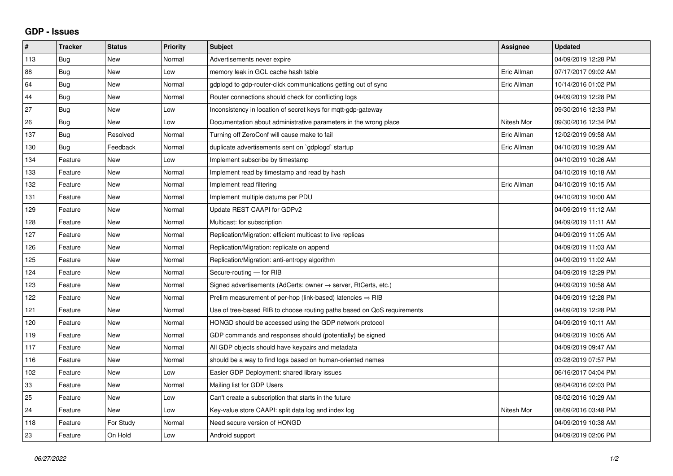## **GDP - Issues**

| #   | <b>Tracker</b> | <b>Status</b> | Priority | <b>Subject</b>                                                             | Assignee    | <b>Updated</b>      |
|-----|----------------|---------------|----------|----------------------------------------------------------------------------|-------------|---------------------|
| 113 | Bug            | <b>New</b>    | Normal   | Advertisements never expire                                                |             | 04/09/2019 12:28 PM |
| 88  | Bug            | <b>New</b>    | Low      | memory leak in GCL cache hash table                                        | Eric Allman | 07/17/2017 09:02 AM |
| 64  | Bug            | <b>New</b>    | Normal   | gdplogd to gdp-router-click communications getting out of sync             | Eric Allman | 10/14/2016 01:02 PM |
| 44  | <b>Bug</b>     | <b>New</b>    | Normal   | Router connections should check for conflicting logs                       |             | 04/09/2019 12:28 PM |
| 27  | Bug            | <b>New</b>    | Low      | Inconsistency in location of secret keys for mqtt-gdp-gateway              |             | 09/30/2016 12:33 PM |
| 26  | Bug            | New           | Low      | Documentation about administrative parameters in the wrong place           | Nitesh Mor  | 09/30/2016 12:34 PM |
| 137 | Bug            | Resolved      | Normal   | Turning off ZeroConf will cause make to fail                               | Eric Allman | 12/02/2019 09:58 AM |
| 130 | Bug            | Feedback      | Normal   | duplicate advertisements sent on `gdplogd` startup                         | Eric Allman | 04/10/2019 10:29 AM |
| 134 | Feature        | <b>New</b>    | Low      | Implement subscribe by timestamp                                           |             | 04/10/2019 10:26 AM |
| 133 | Feature        | <b>New</b>    | Normal   | Implement read by timestamp and read by hash                               |             | 04/10/2019 10:18 AM |
| 132 | Feature        | <b>New</b>    | Normal   | Implement read filtering                                                   | Eric Allman | 04/10/2019 10:15 AM |
| 131 | Feature        | New           | Normal   | Implement multiple datums per PDU                                          |             | 04/10/2019 10:00 AM |
| 129 | Feature        | <b>New</b>    | Normal   | Update REST CAAPI for GDPv2                                                |             | 04/09/2019 11:12 AM |
| 128 | Feature        | <b>New</b>    | Normal   | Multicast: for subscription                                                |             | 04/09/2019 11:11 AM |
| 127 | Feature        | <b>New</b>    | Normal   | Replication/Migration: efficient multicast to live replicas                |             | 04/09/2019 11:05 AM |
| 126 | Feature        | <b>New</b>    | Normal   | Replication/Migration: replicate on append                                 |             | 04/09/2019 11:03 AM |
| 125 | Feature        | New           | Normal   | Replication/Migration: anti-entropy algorithm                              |             | 04/09/2019 11:02 AM |
| 124 | Feature        | New           | Normal   | Secure-routing - for RIB                                                   |             | 04/09/2019 12:29 PM |
| 123 | Feature        | <b>New</b>    | Normal   | Signed advertisements (AdCerts: owner $\rightarrow$ server, RtCerts, etc.) |             | 04/09/2019 10:58 AM |
| 122 | Feature        | <b>New</b>    | Normal   | Prelim measurement of per-hop (link-based) latencies $\Rightarrow$ RIB     |             | 04/09/2019 12:28 PM |
| 121 | Feature        | <b>New</b>    | Normal   | Use of tree-based RIB to choose routing paths based on QoS requirements    |             | 04/09/2019 12:28 PM |
| 120 | Feature        | <b>New</b>    | Normal   | HONGD should be accessed using the GDP network protocol                    |             | 04/09/2019 10:11 AM |
| 119 | Feature        | <b>New</b>    | Normal   | GDP commands and responses should (potentially) be signed                  |             | 04/09/2019 10:05 AM |
| 117 | Feature        | <b>New</b>    | Normal   | All GDP objects should have keypairs and metadata                          |             | 04/09/2019 09:47 AM |
| 116 | Feature        | <b>New</b>    | Normal   | should be a way to find logs based on human-oriented names                 |             | 03/28/2019 07:57 PM |
| 102 | Feature        | New           | Low      | Easier GDP Deployment: shared library issues                               |             | 06/16/2017 04:04 PM |
| 33  | Feature        | New           | Normal   | Mailing list for GDP Users                                                 |             | 08/04/2016 02:03 PM |
| 25  | Feature        | <b>New</b>    | Low      | Can't create a subscription that starts in the future                      |             | 08/02/2016 10:29 AM |
| 24  | Feature        | New           | Low      | Key-value store CAAPI: split data log and index log                        | Nitesh Mor  | 08/09/2016 03:48 PM |
| 118 | Feature        | For Study     | Normal   | Need secure version of HONGD                                               |             | 04/09/2019 10:38 AM |
| 23  | Feature        | On Hold       | Low      | Android support                                                            |             | 04/09/2019 02:06 PM |